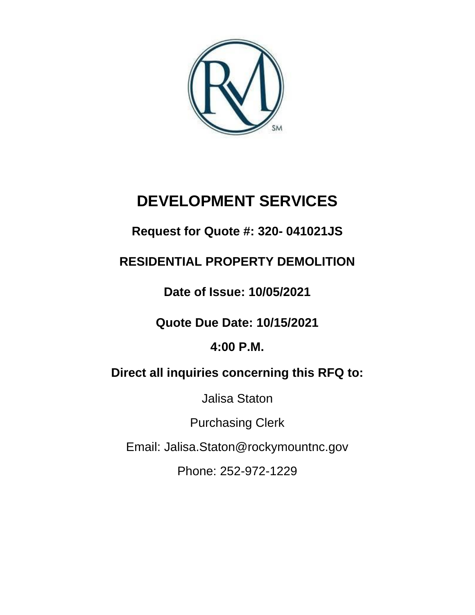

# **DEVELOPMENT SERVICES**

# **Request for Quote #: 320- 041021JS**

# **RESIDENTIAL PROPERTY DEMOLITION**

**Date of Issue: 10/05/2021**

# **Quote Due Date: 10/15/2021**

# **4:00 P.M.**

# **Direct all inquiries concerning this RFQ to:**

Jalisa Staton

Purchasing Clerk

Email: Jalisa.Staton@rockymountnc.gov

Phone: 252-972-1229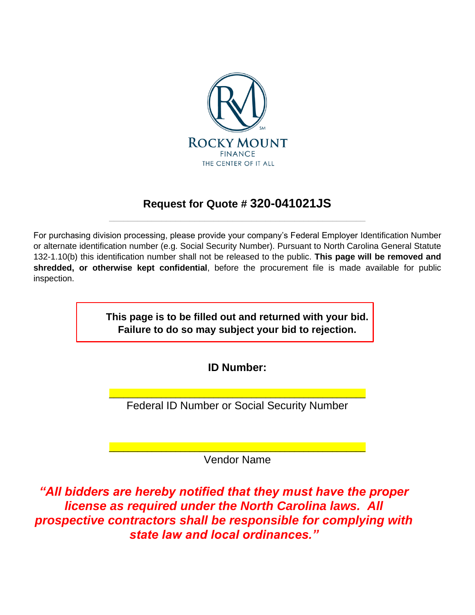

# **Request for Quote # 320-041021JS** \_\_\_\_\_\_\_\_\_\_\_\_\_\_\_\_\_\_\_\_\_\_\_\_\_\_\_\_\_\_\_\_\_\_\_\_\_\_\_\_\_\_\_\_\_\_\_\_\_\_\_\_\_\_

For purchasing division processing, please provide your company's Federal Employer Identification Number or alternate identification number (e.g. Social Security Number). Pursuant to North Carolina General Statute 132-1.10(b) this identification number shall not be released to the public. **This page will be removed and shredded, or otherwise kept confidential**, before the procurement file is made available for public inspection.

> **This page is to be filled out and returned with your bid. Failure to do so may subject your bid to rejection.**

> > **ID Number:**

\_\_\_\_\_\_\_\_\_\_\_\_\_\_\_\_\_\_\_\_\_\_\_\_\_\_\_\_\_\_\_\_\_\_\_\_\_\_\_\_\_\_\_\_\_\_\_\_\_\_\_\_\_\_ Federal ID Number or Social Security Number

\_\_\_\_\_\_\_\_\_\_\_\_\_\_\_\_\_\_\_\_\_\_\_\_\_\_\_\_\_\_\_\_\_\_\_\_\_\_\_\_\_\_\_\_\_\_\_\_\_\_\_\_\_\_ Vendor Name

*"All bidders are hereby notified that they must have the proper license as required under the North Carolina laws. All prospective contractors shall be responsible for complying with state law and local ordinances."*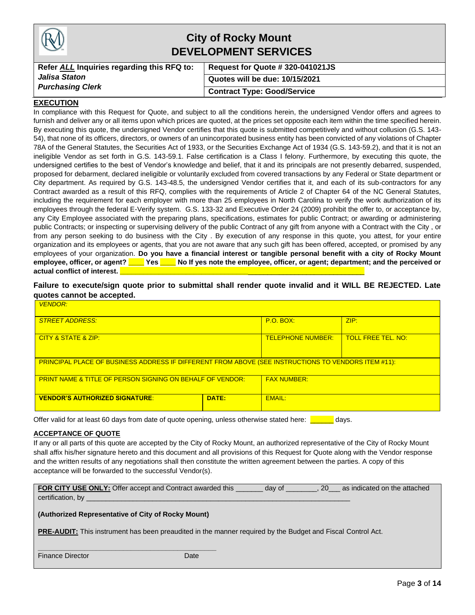| <b>City of Rocky Mount</b><br><b>DEVELOPMENT SERVICES</b> |                                    |
|-----------------------------------------------------------|------------------------------------|
| Refer ALL Inquiries regarding this RFQ to:                | Request for Quote # 320-041021JS   |
| Jalisa Staton                                             | Quotes will be due: 10/15/2021     |
| <b>Purchasing Clerk</b>                                   | <b>Contract Type: Good/Service</b> |
| EXECUTION                                                 |                                    |

#### **EXECUTION**

In compliance with this Request for Quote, and subject to all the conditions herein, the undersigned Vendor offers and agrees to furnish and deliver any or all items upon which prices are quoted, at the prices set opposite each item within the time specified herein. By executing this quote, the undersigned Vendor certifies that this quote is submitted competitively and without collusion (G.S. 143- 54), that none of its officers, directors, or owners of an unincorporated business entity has been convicted of any violations of Chapter 78A of the General Statutes, the Securities Act of 1933, or the Securities Exchange Act of 1934 (G.S. 143-59.2), and that it is not an ineligible Vendor as set forth in G.S. 143-59.1. False certification is a Class I felony. Furthermore, by executing this quote, the undersigned certifies to the best of Vendor's knowledge and belief, that it and its principals are not presently debarred, suspended, proposed for debarment, declared ineligible or voluntarily excluded from covered transactions by any Federal or State department or City department. As required by G.S. 143-48.5, the undersigned Vendor certifies that it, and each of its sub-contractors for any Contract awarded as a result of this RFQ, complies with the requirements of Article 2 of Chapter 64 of the NC General Statutes, including the requirement for each employer with more than 25 employees in North Carolina to verify the work authorization of its employees through the federal E-Verify system. G.S. 133-32 and Executive Order 24 (2009) prohibit the offer to, or acceptance by, any City Employee associated with the preparing plans, specifications, estimates for public Contract; or awarding or administering public Contracts; or inspecting or supervising delivery of the public Contract of any gift from anyone with a Contract with the City , or from any person seeking to do business with the City . By execution of any response in this quote, you attest, for your entire organization and its employees or agents, that you are not aware that any such gift has been offered, accepted, or promised by any employees of your organization. **Do you have a financial interest or tangible personal benefit with a city of Rocky Mount employee, officer, or agent? \_\_\_\_ Yes \_\_\_\_ No If yes note the employee, officer, or agent; department; and the perceived or**  actual conflict of interest.

**Failure to execute/sign quote prior to submittal shall render quote invalid and it WILL BE REJECTED. Late quotes cannot be accepted.**

| <b>VENDOR:</b>                                                                                      |                          |                           |      |  |
|-----------------------------------------------------------------------------------------------------|--------------------------|---------------------------|------|--|
| <b>STREET ADDRESS:</b>                                                                              |                          | <b>P.O. BOX:</b>          | ZIP: |  |
| CITY & STATE & ZIP:                                                                                 | <b>TELEPHONE NUMBER:</b> | <b>TOLL FREE TEL, NO:</b> |      |  |
| PRINCIPAL PLACE OF BUSINESS ADDRESS IF DIFFERENT FROM ABOVE (SEE INSTRUCTIONS TO VENDORS ITEM #11): |                          |                           |      |  |
| <b>PRINT NAME &amp; TITLE OF PERSON SIGNING ON BEHALF OF VENDOR:</b>                                |                          | <b>FAX NUMBER:</b>        |      |  |
| <b>VENDOR'S AUTHORIZED SIGNATURE:</b>                                                               | DATE:                    | <b>EMAIL:</b>             |      |  |

Offer valid for at least 60 days from date of quote opening, unless otherwise stated here: **Example** days.

#### **ACCEPTANCE OF QUOTE**

If any or all parts of this quote are accepted by the City of Rocky Mount, an authorized representative of the City of Rocky Mount shall affix his/her signature hereto and this document and all provisions of this Request for Quote along with the Vendor response and the written results of any negotiations shall then constitute the written agreement between the parties. A copy of this acceptance will be forwarded to the successful Vendor(s).

|                   | <b>FOR CITY USE ONLY:</b> Offer accept and Contract awarded this | dav of | as indicated on the attached |
|-------------------|------------------------------------------------------------------|--------|------------------------------|
| certification, by |                                                                  |        |                              |

#### **(Authorized Representative of City of Rocky Mount)**

**\_\_\_\_\_\_\_\_\_\_\_\_\_\_\_\_\_\_\_\_\_\_\_\_\_\_\_\_\_\_\_\_\_\_\_\_\_\_\_\_\_\_\_\_\_\_**

**PRE-AUDIT:** This instrument has been preaudited in the manner required by the Budget and Fiscal Control Act.

| <b>Finance Director</b> | Date |
|-------------------------|------|
|-------------------------|------|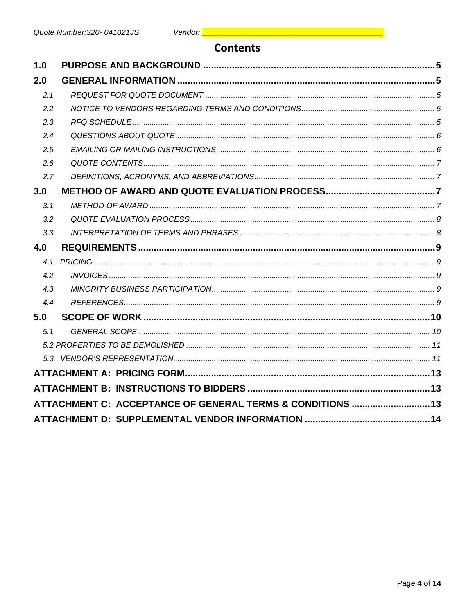# **Contents**

| 1.0 |                                                            |  |
|-----|------------------------------------------------------------|--|
| 2.0 |                                                            |  |
| 2.1 |                                                            |  |
| 2.2 |                                                            |  |
| 2.3 |                                                            |  |
| 2.4 |                                                            |  |
| 2.5 |                                                            |  |
| 2.6 |                                                            |  |
| 2.7 |                                                            |  |
| 3.0 |                                                            |  |
| 3.1 |                                                            |  |
| 3.2 |                                                            |  |
| 3.3 |                                                            |  |
| 4.0 |                                                            |  |
| 4.1 |                                                            |  |
| 4.2 |                                                            |  |
| 4.3 |                                                            |  |
| 4.4 |                                                            |  |
| 5.0 |                                                            |  |
| 5.1 |                                                            |  |
|     |                                                            |  |
|     |                                                            |  |
|     |                                                            |  |
|     |                                                            |  |
|     | ATTACHMENT C: ACCEPTANCE OF GENERAL TERMS & CONDITIONS  13 |  |
|     |                                                            |  |
|     |                                                            |  |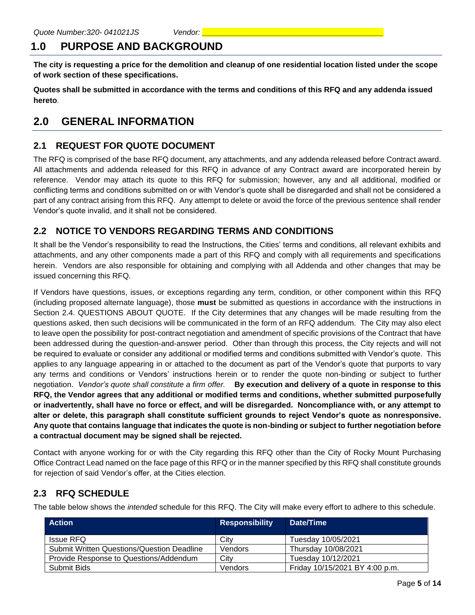# <span id="page-4-0"></span>**1.0 PURPOSE AND BACKGROUND**

**The city is requesting a price for the demolition and cleanup of one residential location listed under the scope of work section of these specifications.**

**Quotes shall be submitted in accordance with the terms and conditions of this RFQ and any addenda issued hereto***.*

# <span id="page-4-1"></span>**2.0 GENERAL INFORMATION**

# <span id="page-4-2"></span>**2.1 REQUEST FOR QUOTE DOCUMENT**

The RFQ is comprised of the base RFQ document, any attachments, and any addenda released before Contract award. All attachments and addenda released for this RFQ in advance of any Contract award are incorporated herein by reference. Vendor may attach its quote to this RFQ for submission; however, any and all additional, modified or conflicting terms and conditions submitted on or with Vendor's quote shall be disregarded and shall not be considered a part of any contract arising from this RFQ. Any attempt to delete or avoid the force of the previous sentence shall render Vendor's quote invalid, and it shall not be considered.

# <span id="page-4-3"></span>**2.2 NOTICE TO VENDORS REGARDING TERMS AND CONDITIONS**

It shall be the Vendor's responsibility to read the Instructions, the Cities' terms and conditions, all relevant exhibits and attachments, and any other components made a part of this RFQ and comply with all requirements and specifications herein. Vendors are also responsible for obtaining and complying with all Addenda and other changes that may be issued concerning this RFQ.

If Vendors have questions, issues, or exceptions regarding any term, condition, or other component within this RFQ (including proposed alternate language), those **must** be submitted as questions in accordance with the instructions in Section 2.4. QUESTIONS ABOUT QUOTE. If the City determines that any changes will be made resulting from the questions asked, then such decisions will be communicated in the form of an RFQ addendum. The City may also elect to leave open the possibility for post-contract negotiation and amendment of specific provisions of the Contract that have been addressed during the question-and-answer period. Other than through this process, the City rejects and will not be required to evaluate or consider any additional or modified terms and conditions submitted with Vendor's quote. This applies to any language appearing in or attached to the document as part of the Vendor's quote that purports to vary any terms and conditions or Vendors' instructions herein or to render the quote non-binding or subject to further negotiation. *Vendor's quote shall constitute a firm offer.* **By execution and delivery of a quote in response to this RFQ, the Vendor agrees that any additional or modified terms and conditions, whether submitted purposefully or inadvertently, shall have no force or effect, and will be disregarded. Noncompliance with, or any attempt to alter or delete, this paragraph shall constitute sufficient grounds to reject Vendor's quote as nonresponsive. Any quote that contains language that indicates the quote is non-binding or subject to further negotiation before a contractual document may be signed shall be rejected.**

Contact with anyone working for or with the City regarding this RFQ other than the City of Rocky Mount Purchasing Office Contract Lead named on the face page of this RFQ or in the manner specified by this RFQ shall constitute grounds for rejection of said Vendor's offer, at the Cities election.

# <span id="page-4-4"></span>**2.3 RFQ SCHEDULE**

The table below shows the *intended* schedule for this RFQ. The City will make every effort to adhere to this schedule.

| <b>Action</b>                                     | <b>Responsibility</b> | Date/Time                      |
|---------------------------------------------------|-----------------------|--------------------------------|
| Issue RFQ                                         | City                  | Tuesday 10/05/2021             |
| <b>Submit Written Questions/Question Deadline</b> | Vendors               | Thursday 10/08/2021            |
| Provide Response to Questions/Addendum            | City                  | Tuesday 10/12/2021             |
| Submit Bids                                       | Vendors               | Friday 10/15/2021 BY 4:00 p.m. |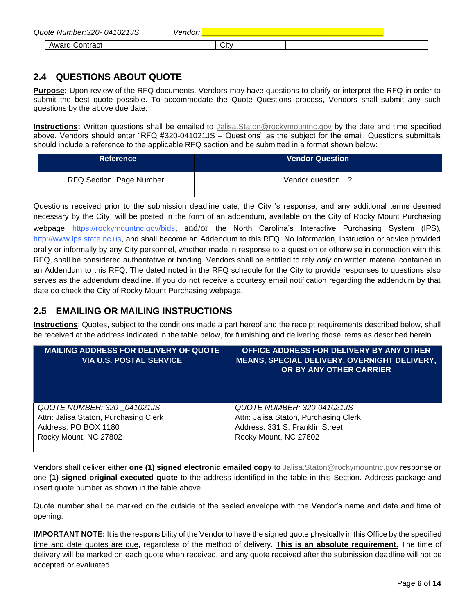| Quote<br>. Number : | (1)<br>1JS<br>שוו<br>44<br>≺<br>____ | . . |      |  |
|---------------------|--------------------------------------|-----|------|--|
| AW                  | :ac'                                 |     | City |  |

# <span id="page-5-0"></span>**2.4 QUESTIONS ABOUT QUOTE**

**Purpose:** Upon review of the RFQ documents, Vendors may have questions to clarify or interpret the RFQ in order to submit the best quote possible. To accommodate the Quote Questions process, Vendors shall submit any such questions by the above due date.

**Instructions:** Written questions shall be emailed to [Jalisa.Staton@rockymountnc.gov](mailto:debra.harris@rockymountnc.gov) by the date and time specified above. Vendors should enter "RFQ #320-041021JS – Questions" as the subject for the email. Questions submittals should include a reference to the applicable RFQ section and be submitted in a format shown below:

| <b>Reference</b>         | <b>Vendor Question</b> |
|--------------------------|------------------------|
| RFQ Section, Page Number | Vendor question?       |

Questions received prior to the submission deadline date, the City 's response, and any additional terms deemed necessary by the City will be posted in the form of an addendum, available on the City of Rocky Mount Purchasing webpage https://rockymountnc.gov/bids, and/or the North Carolina's Interactive Purchasing System (IPS), [http://www.ips.state.nc.us,](http://www.ips.state.nc.us/) and shall become an Addendum to this RFQ. No information, instruction or advice provided orally or informally by any City personnel, whether made in response to a question or otherwise in connection with this RFQ, shall be considered authoritative or binding. Vendors shall be entitled to rely *only* on written material contained in an Addendum to this RFQ. The dated noted in the RFQ schedule for the City to provide responses to questions also serves as the addendum deadline. If you do not receive a courtesy email notification regarding the addendum by that date do check the City of Rocky Mount Purchasing webpage.

# <span id="page-5-1"></span>**2.5 EMAILING OR MAILING INSTRUCTIONS**

**Instructions**: Quotes, subject to the conditions made a part hereof and the receipt requirements described below, shall be received at the address indicated in the table below, for furnishing and delivering those items as described herein.

| <b>MAILING ADDRESS FOR DELIVERY OF QUOTE</b><br><b>VIA U.S. POSTAL SERVICE</b> | OFFICE ADDRESS FOR DELIVERY BY ANY OTHER<br>MEANS, SPECIAL DELIVERY, OVERNIGHT DELIVERY,<br>OR BY ANY OTHER CARRIER |
|--------------------------------------------------------------------------------|---------------------------------------------------------------------------------------------------------------------|
| QUOTE NUMBER: 320-041021JS                                                     | QUOTE NUMBER: 320-041021JS                                                                                          |
| Attn: Jalisa Staton, Purchasing Clerk                                          | Attn: Jalisa Staton, Purchasing Clerk                                                                               |
| Address: PO BOX 1180                                                           | Address: 331 S. Franklin Street                                                                                     |
| Rocky Mount, NC 27802                                                          | Rocky Mount, NC 27802                                                                                               |

Vendors shall deliver either **one (1) signed electronic emailed copy** to [Jalisa.Staton@rockymountnc.gov](mailto:debra.harris@rockymountnc.gov) response or one **(1) signed original executed quote** to the address identified in the table in this Section. Address package and insert quote number as shown in the table above.

Quote number shall be marked on the outside of the sealed envelope with the Vendor's name and date and time of opening.

**IMPORTANT NOTE:** It is the responsibility of the Vendor to have the signed quote physically in this Office by the specified time and date quotes are due, regardless of the method of delivery. **This is an absolute requirement.** The time of delivery will be marked on each quote when received, and any quote received after the submission deadline will not be accepted or evaluated.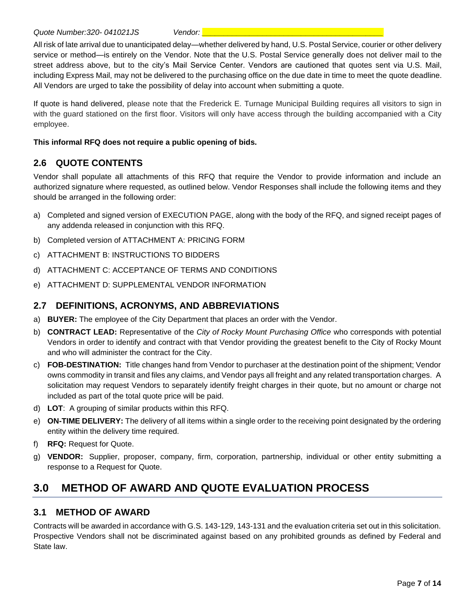All risk of late arrival due to unanticipated delay—whether delivered by hand, U.S. Postal Service, courier or other delivery service or method—is entirely on the Vendor. Note that the U.S. Postal Service generally does not deliver mail to the street address above, but to the city's Mail Service Center. Vendors are cautioned that quotes sent via U.S. Mail, including Express Mail, may not be delivered to the purchasing office on the due date in time to meet the quote deadline. All Vendors are urged to take the possibility of delay into account when submitting a quote.

If quote is hand delivered, please note that the Frederick E. Turnage Municipal Building requires all visitors to sign in with the guard stationed on the first floor. Visitors will only have access through the building accompanied with a City employee.

#### **This informal RFQ does not require a public opening of bids.**

#### <span id="page-6-0"></span>**2.6 QUOTE CONTENTS**

Vendor shall populate all attachments of this RFQ that require the Vendor to provide information and include an authorized signature where requested, as outlined below. Vendor Responses shall include the following items and they should be arranged in the following order:

- a) Completed and signed version of EXECUTION PAGE, along with the body of the RFQ, and signed receipt pages of any addenda released in conjunction with this RFQ.
- b) Completed version of ATTACHMENT A: PRICING FORM
- c) ATTACHMENT B: INSTRUCTIONS TO BIDDERS
- d) ATTACHMENT C: ACCEPTANCE OF TERMS AND CONDITIONS
- e) ATTACHMENT D: SUPPLEMENTAL VENDOR INFORMATION

#### <span id="page-6-1"></span>**2.7 DEFINITIONS, ACRONYMS, AND ABBREVIATIONS**

- a) **BUYER:** The employee of the City Department that places an order with the Vendor.
- b) **CONTRACT LEAD:** Representative of the *City of Rocky Mount Purchasing Office* who corresponds with potential Vendors in order to identify and contract with that Vendor providing the greatest benefit to the City of Rocky Mount and who will administer the contract for the City.
- c) **FOB-DESTINATION:** Title changes hand from Vendor to purchaser at the destination point of the shipment; Vendor owns commodity in transit and files any claims, and Vendor pays all freight and any related transportation charges. A solicitation may request Vendors to separately identify freight charges in their quote, but no amount or charge not included as part of the total quote price will be paid.
- d) **LOT**: A grouping of similar products within this RFQ.
- e) **ON-TIME DELIVERY:** The delivery of all items within a single order to the receiving point designated by the ordering entity within the delivery time required.
- f) **RFQ:** Request for Quote.
- g) **VENDOR:** Supplier, proposer, company, firm, corporation, partnership, individual or other entity submitting a response to a Request for Quote.

# <span id="page-6-2"></span>**3.0 METHOD OF AWARD AND QUOTE EVALUATION PROCESS**

### <span id="page-6-3"></span>**3.1 METHOD OF AWARD**

Contracts will be awarded in accordance with G.S. 143-129, 143-131 and the evaluation criteria set out in this solicitation. Prospective Vendors shall not be discriminated against based on any prohibited grounds as defined by Federal and State law.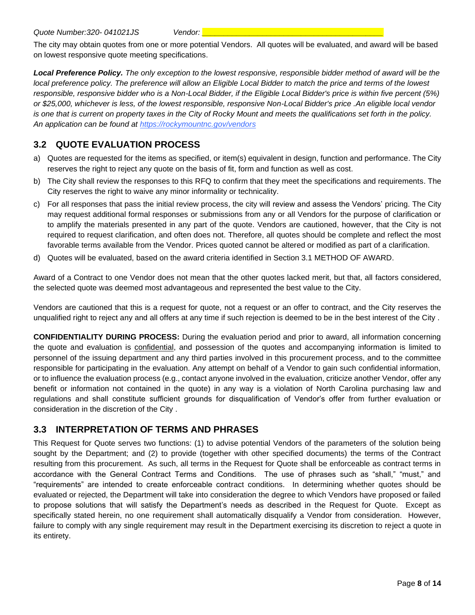The city may obtain quotes from one or more potential Vendors. All quotes will be evaluated, and award will be based on lowest responsive quote meeting specifications.

*Local Preference Policy. The only exception to the lowest responsive, responsible bidder method of award will be the local preference policy. The preference will allow an Eligible Local Bidder to match the price and terms of the lowest responsible, responsive bidder who is a Non-Local Bidder, if the Eligible Local Bidder's price is within five percent (5%) or \$25,000, whichever is less, of the lowest responsible, responsive Non-Local Bidder's price .An eligible local vendor is one that is current on property taxes in the City of Rocky Mount and meets the qualifications set forth in the policy. An application can be found at https://rockymountnc.gov/vendors*

# <span id="page-7-0"></span>**3.2 QUOTE EVALUATION PROCESS**

- a) Quotes are requested for the items as specified, or item(s) equivalent in design, function and performance. The City reserves the right to reject any quote on the basis of fit, form and function as well as cost.
- b) The City shall review the responses to this RFQ to confirm that they meet the specifications and requirements. The City reserves the right to waive any minor informality or technicality.
- c) For all responses that pass the initial review process, the city will review and assess the Vendors' pricing. The City may request additional formal responses or submissions from any or all Vendors for the purpose of clarification or to amplify the materials presented in any part of the quote. Vendors are cautioned, however, that the City is not required to request clarification, and often does not. Therefore, all quotes should be complete and reflect the most favorable terms available from the Vendor. Prices quoted cannot be altered or modified as part of a clarification.
- d) Quotes will be evaluated, based on the award criteria identified in Section 3.1 METHOD OF AWARD.

Award of a Contract to one Vendor does not mean that the other quotes lacked merit, but that, all factors considered, the selected quote was deemed most advantageous and represented the best value to the City.

Vendors are cautioned that this is a request for quote, not a request or an offer to contract, and the City reserves the unqualified right to reject any and all offers at any time if such rejection is deemed to be in the best interest of the City .

**CONFIDENTIALITY DURING PROCESS:** During the evaluation period and prior to award, all information concerning the quote and evaluation is confidential, and possession of the quotes and accompanying information is limited to personnel of the issuing department and any third parties involved in this procurement process, and to the committee responsible for participating in the evaluation. Any attempt on behalf of a Vendor to gain such confidential information, or to influence the evaluation process (e.g., contact anyone involved in the evaluation, criticize another Vendor, offer any benefit or information not contained in the quote) in any way is a violation of North Carolina purchasing law and regulations and shall constitute sufficient grounds for disqualification of Vendor's offer from further evaluation or consideration in the discretion of the City .

#### <span id="page-7-1"></span>**3.3 INTERPRETATION OF TERMS AND PHRASES**

This Request for Quote serves two functions: (1) to advise potential Vendors of the parameters of the solution being sought by the Department; and (2) to provide (together with other specified documents) the terms of the Contract resulting from this procurement. As such, all terms in the Request for Quote shall be enforceable as contract terms in accordance with the General Contract Terms and Conditions. The use of phrases such as "shall," "must," and "requirements" are intended to create enforceable contract conditions. In determining whether quotes should be evaluated or rejected, the Department will take into consideration the degree to which Vendors have proposed or failed to propose solutions that will satisfy the Department's needs as described in the Request for Quote. Except as specifically stated herein, no one requirement shall automatically disqualify a Vendor from consideration. However, failure to comply with any single requirement may result in the Department exercising its discretion to reject a quote in its entirety.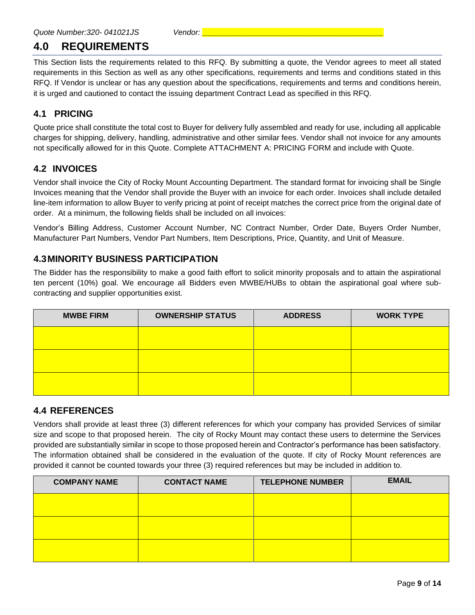# <span id="page-8-0"></span>**4.0 REQUIREMENTS**

This Section lists the requirements related to this RFQ. By submitting a quote, the Vendor agrees to meet all stated requirements in this Section as well as any other specifications, requirements and terms and conditions stated in this RFQ. If Vendor is unclear or has any question about the specifications, requirements and terms and conditions herein, it is urged and cautioned to contact the issuing department Contract Lead as specified in this RFQ.

### <span id="page-8-1"></span>**4.1 PRICING**

Quote price shall constitute the total cost to Buyer for delivery fully assembled and ready for use, including all applicable charges for shipping, delivery, handling, administrative and other similar fees. Vendor shall not invoice for any amounts not specifically allowed for in this Quote. Complete ATTACHMENT A: PRICING FORM and include with Quote.

#### <span id="page-8-2"></span>**4.2 INVOICES**

Vendor shall invoice the City of Rocky Mount Accounting Department. The standard format for invoicing shall be Single Invoices meaning that the Vendor shall provide the Buyer with an invoice for each order. Invoices shall include detailed line-item information to allow Buyer to verify pricing at point of receipt matches the correct price from the original date of order. At a minimum, the following fields shall be included on all invoices:

Vendor's Billing Address, Customer Account Number, NC Contract Number, Order Date, Buyers Order Number, Manufacturer Part Numbers, Vendor Part Numbers, Item Descriptions, Price, Quantity, and Unit of Measure.

#### <span id="page-8-3"></span>**4.3MINORITY BUSINESS PARTICIPATION**

The Bidder has the responsibility to make a good faith effort to solicit minority proposals and to attain the aspirational ten percent (10%) goal. We encourage all Bidders even MWBE/HUBs to obtain the aspirational goal where subcontracting and supplier opportunities exist.

| <b>MWBE FIRM</b> | <b>OWNERSHIP STATUS</b> | <b>ADDRESS</b> | <b>WORK TYPE</b> |
|------------------|-------------------------|----------------|------------------|
|                  |                         |                |                  |
|                  |                         |                |                  |
|                  |                         |                |                  |
|                  |                         |                |                  |

#### <span id="page-8-4"></span>**4.4 REFERENCES**

Vendors shall provide at least three (3) different references for which your company has provided Services of similar size and scope to that proposed herein. The city of Rocky Mount may contact these users to determine the Services provided are substantially similar in scope to those proposed herein and Contractor's performance has been satisfactory. The information obtained shall be considered in the evaluation of the quote. If city of Rocky Mount references are provided it cannot be counted towards your three (3) required references but may be included in addition to.

| <b>COMPANY NAME</b> | <b>CONTACT NAME</b> | <b>TELEPHONE NUMBER</b> | <b>EMAIL</b> |
|---------------------|---------------------|-------------------------|--------------|
|                     |                     |                         |              |
|                     |                     |                         |              |
|                     |                     |                         |              |
|                     |                     |                         |              |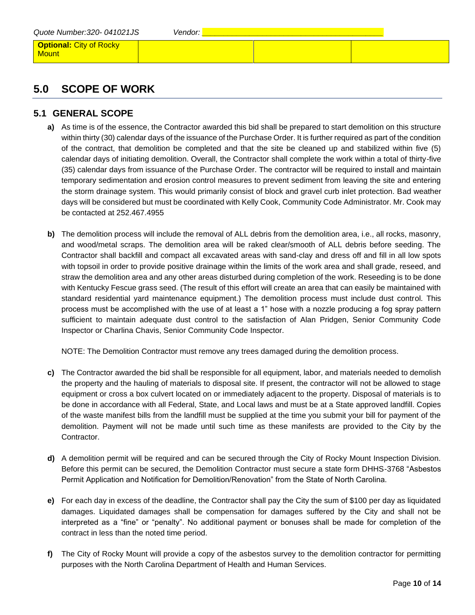# <span id="page-9-0"></span>**5.0 SCOPE OF WORK**

### <span id="page-9-1"></span>**5.1 GENERAL SCOPE**

- **a)** As time is of the essence, the Contractor awarded this bid shall be prepared to start demolition on this structure within thirty (30) calendar days of the issuance of the Purchase Order. It is further required as part of the condition of the contract, that demolition be completed and that the site be cleaned up and stabilized within five (5) calendar days of initiating demolition. Overall, the Contractor shall complete the work within a total of thirty-five (35) calendar days from issuance of the Purchase Order. The contractor will be required to install and maintain temporary sedimentation and erosion control measures to prevent sediment from leaving the site and entering the storm drainage system. This would primarily consist of block and gravel curb inlet protection. Bad weather days will be considered but must be coordinated with Kelly Cook, Community Code Administrator. Mr. Cook may be contacted at 252.467.4955
- **b)** The demolition process will include the removal of ALL debris from the demolition area, i.e., all rocks, masonry, and wood/metal scraps. The demolition area will be raked clear/smooth of ALL debris before seeding. The Contractor shall backfill and compact all excavated areas with sand-clay and dress off and fill in all low spots with topsoil in order to provide positive drainage within the limits of the work area and shall grade, reseed, and straw the demolition area and any other areas disturbed during completion of the work. Reseeding is to be done with Kentucky Fescue grass seed. (The result of this effort will create an area that can easily be maintained with standard residential yard maintenance equipment.) The demolition process must include dust control. This process must be accomplished with the use of at least a 1" hose with a nozzle producing a fog spray pattern sufficient to maintain adequate dust control to the satisfaction of Alan Pridgen, Senior Community Code Inspector or Charlina Chavis, Senior Community Code Inspector.

NOTE: The Demolition Contractor must remove any trees damaged during the demolition process.

- **c)** The Contractor awarded the bid shall be responsible for all equipment, labor, and materials needed to demolish the property and the hauling of materials to disposal site. If present, the contractor will not be allowed to stage equipment or cross a box culvert located on or immediately adjacent to the property. Disposal of materials is to be done in accordance with all Federal, State, and Local laws and must be at a State approved landfill. Copies of the waste manifest bills from the landfill must be supplied at the time you submit your bill for payment of the demolition. Payment will not be made until such time as these manifests are provided to the City by the Contractor.
- **d)** A demolition permit will be required and can be secured through the City of Rocky Mount Inspection Division. Before this permit can be secured, the Demolition Contractor must secure a state form DHHS-3768 "Asbestos Permit Application and Notification for Demolition/Renovation" from the State of North Carolina.
- **e)** For each day in excess of the deadline, the Contractor shall pay the City the sum of \$100 per day as liquidated damages. Liquidated damages shall be compensation for damages suffered by the City and shall not be interpreted as a "fine" or "penalty". No additional payment or bonuses shall be made for completion of the contract in less than the noted time period.
- **f)** The City of Rocky Mount will provide a copy of the asbestos survey to the demolition contractor for permitting purposes with the North Carolina Department of Health and Human Services.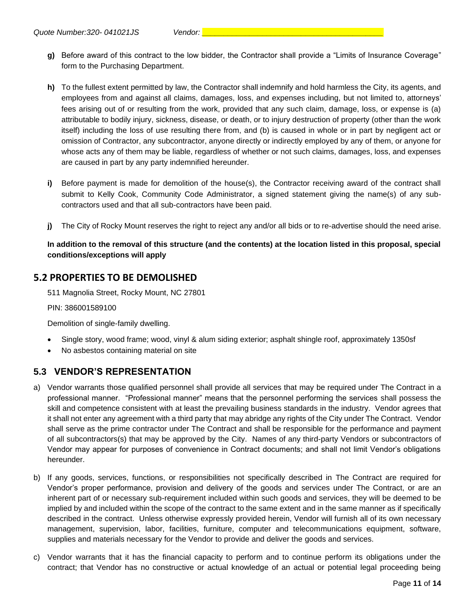- **h)** To the fullest extent permitted by law, the Contractor shall indemnify and hold harmless the City, its agents, and employees from and against all claims, damages, loss, and expenses including, but not limited to, attorneys' fees arising out of or resulting from the work, provided that any such claim, damage, loss, or expense is (a) attributable to bodily injury, sickness, disease, or death, or to injury destruction of property (other than the work itself) including the loss of use resulting there from, and (b) is caused in whole or in part by negligent act or omission of Contractor, any subcontractor, anyone directly or indirectly employed by any of them, or anyone for whose acts any of them may be liable, regardless of whether or not such claims, damages, loss, and expenses are caused in part by any party indemnified hereunder.
- **i)** Before payment is made for demolition of the house(s), the Contractor receiving award of the contract shall submit to Kelly Cook, Community Code Administrator, a signed statement giving the name(s) of any subcontractors used and that all sub-contractors have been paid.
- **j)** The City of Rocky Mount reserves the right to reject any and/or all bids or to re-advertise should the need arise.

#### **In addition to the removal of this structure (and the contents) at the location listed in this proposal, special conditions/exceptions will apply**

# <span id="page-10-0"></span>**5.2 PROPERTIES TO BE DEMOLISHED**

511 Magnolia Street, Rocky Mount, NC 27801

PIN: 386001589100

Demolition of single-family dwelling.

- Single story, wood frame; wood, vinyl & alum siding exterior; asphalt shingle roof, approximately 1350sf
- No asbestos containing material on site

# <span id="page-10-1"></span>**5.3 VENDOR'S REPRESENTATION**

- a) Vendor warrants those qualified personnel shall provide all services that may be required under The Contract in a professional manner. "Professional manner" means that the personnel performing the services shall possess the skill and competence consistent with at least the prevailing business standards in the industry. Vendor agrees that it shall not enter any agreement with a third party that may abridge any rights of the City under The Contract. Vendor shall serve as the prime contractor under The Contract and shall be responsible for the performance and payment of all subcontractors(s) that may be approved by the City. Names of any third-party Vendors or subcontractors of Vendor may appear for purposes of convenience in Contract documents; and shall not limit Vendor's obligations hereunder.
- b) If any goods, services, functions, or responsibilities not specifically described in The Contract are required for Vendor's proper performance, provision and delivery of the goods and services under The Contract, or are an inherent part of or necessary sub-requirement included within such goods and services, they will be deemed to be implied by and included within the scope of the contract to the same extent and in the same manner as if specifically described in the contract. Unless otherwise expressly provided herein, Vendor will furnish all of its own necessary management, supervision, labor, facilities, furniture, computer and telecommunications equipment, software, supplies and materials necessary for the Vendor to provide and deliver the goods and services.
- c) Vendor warrants that it has the financial capacity to perform and to continue perform its obligations under the contract; that Vendor has no constructive or actual knowledge of an actual or potential legal proceeding being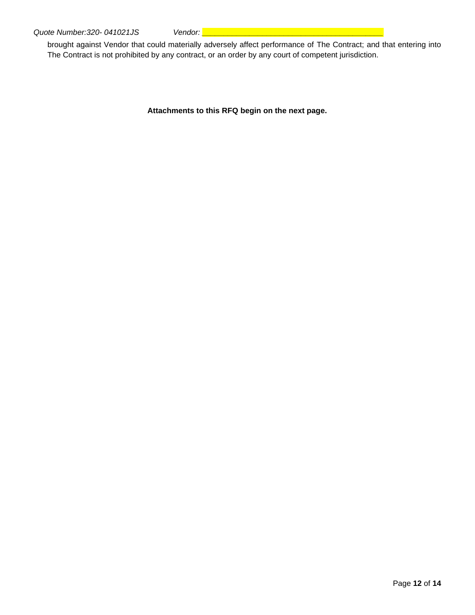brought against Vendor that could materially adversely affect performance of The Contract; and that entering into The Contract is not prohibited by any contract, or an order by any court of competent jurisdiction.

**Attachments to this RFQ begin on the next page.**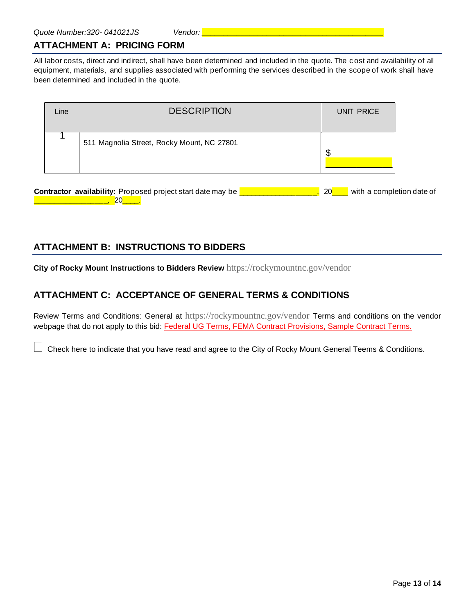### <span id="page-12-0"></span>**ATTACHMENT A: PRICING FORM**

All labor costs, direct and indirect, shall have been determined and included in the quote. The c ost and availability of all equipment, materials, and supplies associated with performing the services described in the scope of work shall have been determined and included in the quote.

| Line | <b>DESCRIPTION</b>                                                | UNIT PRICE                             |  |
|------|-------------------------------------------------------------------|----------------------------------------|--|
|      | 511 Magnolia Street, Rocky Mount, NC 27801                        | \$                                     |  |
|      | Contractor availability: Proposed project start date may be<br>20 | with a completion date of<br><b>20</b> |  |

# <span id="page-12-1"></span>**ATTACHMENT B: INSTRUCTIONS TO BIDDERS**

**City of Rocky Mount Instructions to Bidders Review** <https://rockymountnc.gov/vendor>

# <span id="page-12-2"></span>**ATTACHMENT C: ACCEPTANCE OF GENERAL TERMS & CONDITIONS**

Review Terms and Conditions: General at <https://rockymountnc.gov/vendor> Terms and conditions on the vendor webpage that do not apply to this bid: Federal UG Terms, FEMA Contract Provisions, Sample Contract Terms.

Check here to indicate that you have read and agree to the City of Rocky Mount General Teems & Conditions.